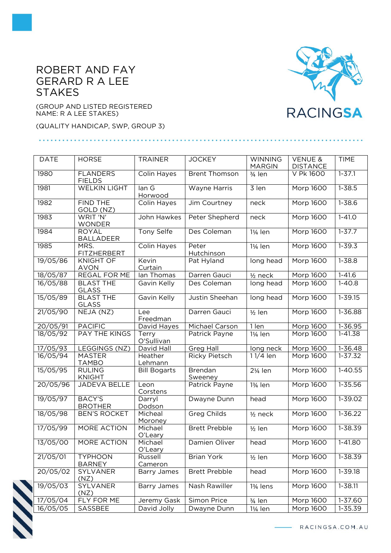## ROBERT AND FAY GERARD R A LEE **STAKES**

(GROUP AND LISTED REGISTERED NAME: R A LEE STAKES)

(QUALITY HANDICAP, SWP, GROUP 3)

| <b>DATE</b>           | <b>HORSE</b>                     | <b>TRAINER</b>      | <b>JOCKEY</b>             | <b>WINNING</b><br><b>MARGIN</b> | <b>VENUE &amp;</b><br><b>DISTANCE</b> | <b>TIME</b> |
|-----------------------|----------------------------------|---------------------|---------------------------|---------------------------------|---------------------------------------|-------------|
| 1980                  | <b>FLANDERS</b><br><b>FIELDS</b> | <b>Colin Hayes</b>  | <b>Brent Thomson</b>      | 3/ <sub>4</sub> len             | V Pk 1600                             | $1 - 37.1$  |
| 1981                  | <b>WELKIN LIGHT</b>              | lan G<br>Horwood    | Wayne Harris              | 3 len                           | <b>Morp 1600</b>                      | $1 - 38.5$  |
| 1982                  | <b>FIND THE</b><br>GOLD (NZ)     | Colin Hayes         | Jim Courtney              | neck                            | Morp 1600                             | $1 - 38.6$  |
| 1983                  | WRIT 'N'<br><b>WONDER</b>        | John Hawkes         | Peter Shepherd            | neck                            | Morp 1600                             | $1 - 41.0$  |
| 1984                  | <b>ROYAL</b><br><b>BALLADEER</b> | <b>Tony Selfe</b>   | Des Coleman               | 11/ <sub>4</sub> len            | <b>Morp 1600</b>                      | $1 - 37.7$  |
| 1985                  | MRS.<br><b>FITZHERBERT</b>       | <b>Colin Hayes</b>  | Peter<br>Hutchinson       | 11/ <sub>4</sub> len            | Morp 1600                             | $1 - 39.3$  |
| 19/05/86              | <b>KNIGHT OF</b><br><b>AVON</b>  | Kevin<br>Curtain    | Pat Hyland                | long head                       | Morp 1600                             | $1 - 38.8$  |
| 18/05/87              | <b>REGAL FOR ME</b>              | lan Thomas          | Darren Gauci              | $1/2$ neck                      | <b>Morp 1600</b>                      | $1 - 41.6$  |
| 16/05/88              | <b>BLAST THE</b><br><b>GLASS</b> | Gavin Kelly         | Des Coleman               | long head                       | Morp 1600                             | $1 - 40.8$  |
| 15/05/89              | <b>BLAST THE</b><br>GLASS        | Gavin Kelly         | Justin Sheehan            | long head                       | Morp 1600                             | $1 - 39.15$ |
| 21/05/90              | NEJA (NZ)                        | Lee<br>Freedman     | Darren Gauci              | $1/2$ len                       | Morp 1600                             | 1-36.88     |
| 20/05/91              | <b>PACIFIC</b>                   | David Hayes         | <b>Michael Carson</b>     | 1 len                           | <b>Morp 1600</b>                      | $1 - 36.95$ |
| 18/05/92              | <b>PAY THE KINGS</b>             | Terry<br>O'Sullivan | Patrick Payne             | 1¼ len                          | Morp 1600                             | 1-41.38     |
| 17/05/93              | LEGGINGS (NZ)                    | David Hall          | <b>Greg Hall</b>          | long neck                       | Morp 1600                             | $1 - 36.48$ |
| 16/05/94              | <b>MASTER</b><br><b>TAMBO</b>    | Heather<br>Lehmann  | <b>Ricky Pietsch</b>      | 11/4 len                        | Morp 1600                             | $1 - 37.32$ |
| 15/05/95              | <b>RULING</b><br><b>KNIGHT</b>   | <b>Bill Bogarts</b> | <b>Brendan</b><br>Sweeney | 21/ <sub>4</sub> len            | Morp 1600                             | $1-40.55$   |
| 20/05/96              | <b>JADEVA BELLE</b>              | Leon<br>Corstens    | Patrick Payne             | 13/ <sub>4</sub> len            | Morp 1600                             | $1 - 35.56$ |
| 19/05/97              | <b>BACY'S</b><br><b>BROTHER</b>  | Darryl<br>Dodson    | Dwayne Dunn               | head                            | Morp 1600                             | 1-39.02     |
| 18/05/98              | <b>BEN'S ROCKET</b>              | Micheal<br>Moroney  | <b>Greg Childs</b>        | $1/2$ neck                      | Morp 1600                             | $1 - 36.22$ |
| 17/05/99              | <b>MORE ACTION</b>               | Michael<br>O'Leary  | <b>Brett Prebble</b>      | $1/2$ len                       | Morp 1600                             | $1 - 38.39$ |
| 13/05/00              | <b>MORE ACTION</b>               | Michael<br>O'Leary  | Damien Oliver             | head                            | Morp 1600                             | $1-41.80$   |
| $\overline{21}/05/01$ | <b>TYPHOON</b><br><b>BARNEY</b>  | Russell<br>Cameron  | <b>Brian York</b>         | $1/2$ len                       | Morp 1600                             | $1 - 38.39$ |
| 20/05/02              | SYLVANER<br>(NZ)                 | Barry James         | <b>Brett Prebble</b>      | head                            | Morp 1600                             | 1-39.18     |
| 19/05/03              | SYLVANER<br>(NZ)                 | <b>Barry James</b>  | Nash Rawiller             | 13/ <sub>4</sub> lens           | Morp 1600                             | $1 - 38.11$ |
| 17/05/04              | FLY FOR ME                       | Jeremy Gask         | Simon Price               | 3/ <sub>4</sub> len             | Morp 1600                             | 1-37.60     |
| 16/05/05              | SASSBEE                          | David Jolly         | Dwayne Dunn               | 1¼ len                          | Morp 1600                             | 1-35.39     |